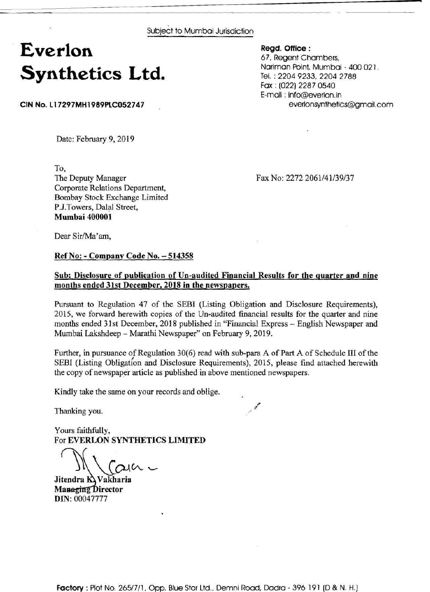Subject to Mumbai Jurisdiction

## **Everlon Synthetics Ltd.**

**CIN No. L17297MH1989PLC052747** .

**Regd. Office** : 67, Regent Chambers, Nariman Point, Mumbai - 400 021. Tel. : 2204 9233,2204 2788 Fax : (022) 2287 0540 E-mail : info@everlon.in everlonsynthetics@gmail.com

Date: February 9, 2019

To,

The Deputy Manager Corporate Relations Department, Bombay Stock Exchange Limited P.J.Towers, Dalal Street, **Mumbai 400001** 

Fax No: 2272 2061/41/39/37

Dear Sir/Ma'am,

## **Ref No:** - **Company Code No.** - **<sup>514358</sup>**

## **Sub: Disclosure of publication of Un-audited Financial Results for the quarter and nine months ended 31st December, 2018 in the newspapers.**

Pursuant to Regulation 47 of the SEBI (Listing Obligation and Disclosure Requirements), 2015, we forward herewith copies of the Un-audited financial results for the quarter and nine months ended 31st December, 2018 published in "Financial Express - English Newspaper and Mumbai Lakshdeep - Marathi Newspaper" on February 9,2019.

Further, in pursuance of Regulation 30(6) read with sub-para A of Part A of Schedule 111 of the SEBI (Listing Obligation and Disclosure Requirements), 2015, please find attached herewith the copy of newspaper article as published in above mentioned newspapers.

 $\mathcal{E}$ 

Kindly take the same on your records and oblige.

Thanking you. /

Yours faithfully, For **EVERLON SYNTHETICS LIMITED** 

 $M_{\textrm{Gau}}$ 

Jitendra **K**yakharia **Managing Director DIN:** 00047777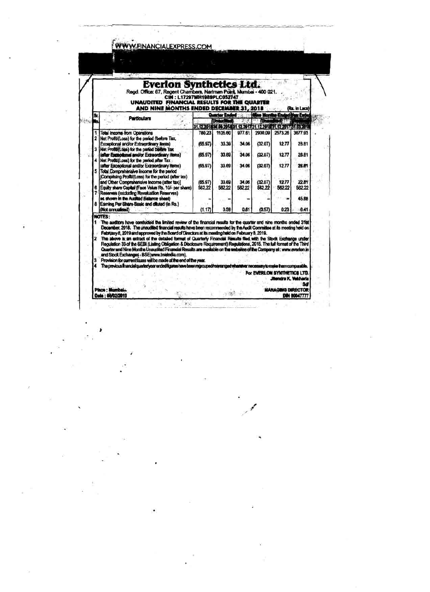| <b>Everlon Synthetics Ltd.</b><br>Regd. Office: 67, Regent Chambers, Nariman Point, Mumbei - 400 021.<br>CIN: L17297MH1989PLC052747<br>UNAUDITED FINANCIAL RESULTS FOR THE QUARTER<br>AND NINE MONTHS ENDED DECEMBER 31, 2018<br>(Rs. in Lacs) |                                                                                                                                                                                                                                                                                                                                                                                                                                                                                                                                                                                                                                                                                                                                                                                                                                                                                                                                                                                       |                   |                                                                                        |                 |                                     |                 |                                    |
|------------------------------------------------------------------------------------------------------------------------------------------------------------------------------------------------------------------------------------------------|---------------------------------------------------------------------------------------------------------------------------------------------------------------------------------------------------------------------------------------------------------------------------------------------------------------------------------------------------------------------------------------------------------------------------------------------------------------------------------------------------------------------------------------------------------------------------------------------------------------------------------------------------------------------------------------------------------------------------------------------------------------------------------------------------------------------------------------------------------------------------------------------------------------------------------------------------------------------------------------|-------------------|----------------------------------------------------------------------------------------|-----------------|-------------------------------------|-----------------|------------------------------------|
| Sr.                                                                                                                                                                                                                                            | <b>Particulars</b>                                                                                                                                                                                                                                                                                                                                                                                                                                                                                                                                                                                                                                                                                                                                                                                                                                                                                                                                                                    |                   | Quarter Ended : 2.2                                                                    |                 | <b>Nien Months Ended Vest Ended</b> |                 |                                    |
|                                                                                                                                                                                                                                                |                                                                                                                                                                                                                                                                                                                                                                                                                                                                                                                                                                                                                                                                                                                                                                                                                                                                                                                                                                                       |                   | <b>Unascitad!</b><br>31.12.2018.30.00.2018.31.12.2017:31.12.2018.31.12.2017:31.03.2018 |                 | <b>Based Chauding The</b>           |                 |                                    |
| ĭ                                                                                                                                                                                                                                              | <b>Total Income from Operations</b>                                                                                                                                                                                                                                                                                                                                                                                                                                                                                                                                                                                                                                                                                                                                                                                                                                                                                                                                                   | 780.23            | 1105.60                                                                                | 977.61          |                                     | 2930.09 2573.26 | 3677.93                            |
| $\overline{\mathbf{2}}$<br>3                                                                                                                                                                                                                   | Net Profit/(Loss) for the period (before Tax,<br>Exceptional and/or Extraordinary items)<br>Net Profit/(Loss) for the pariod before Tax                                                                                                                                                                                                                                                                                                                                                                                                                                                                                                                                                                                                                                                                                                                                                                                                                                               | (65.97)           | 33.39                                                                                  | 34.06           | (32.07)                             | 12.77           | 28.81                              |
|                                                                                                                                                                                                                                                | (after Exceptional and/or Extraordinary items)<br>Net Profit/(Loss) for the period after Tax                                                                                                                                                                                                                                                                                                                                                                                                                                                                                                                                                                                                                                                                                                                                                                                                                                                                                          | (65.97)           | 33.89                                                                                  | 34.06           | (32.07)                             | 12.77           | <b>28.81</b>                       |
| 5                                                                                                                                                                                                                                              | (after Exceptional and/or Extraordinary items)<br>Total Comprehensive Income for the period<br>(Comprising Profit/(Loss) for the period (after tax)                                                                                                                                                                                                                                                                                                                                                                                                                                                                                                                                                                                                                                                                                                                                                                                                                                   | (65.97)           | 33.69                                                                                  | 34.06           | (32.07)                             | 12.77           | 28.81                              |
| 6                                                                                                                                                                                                                                              | and Other Comprehensive Income (after fax)]<br>Equity share Capital (Face Value Rs. 10/- per share)                                                                                                                                                                                                                                                                                                                                                                                                                                                                                                                                                                                                                                                                                                                                                                                                                                                                                   | (65.97)<br>562.22 | 33.69<br>582.22                                                                        | 34.06<br>582.22 | (32.07)<br>562.22                   | 12.77<br>56222  | 22.81<br>562.22                    |
| â                                                                                                                                                                                                                                              | 7 Reserves (excluding Revaluation Reserves)<br>as shown in the Audited Balance sheet)<br>Earning Per Share Basic and diluted (in Rs.)                                                                                                                                                                                                                                                                                                                                                                                                                                                                                                                                                                                                                                                                                                                                                                                                                                                 |                   |                                                                                        |                 |                                     |                 | 45.88                              |
|                                                                                                                                                                                                                                                | (Not annualised)                                                                                                                                                                                                                                                                                                                                                                                                                                                                                                                                                                                                                                                                                                                                                                                                                                                                                                                                                                      | (1.17)            | 0.59                                                                                   | 0.61            | (0.57)                              | 0.23            | 0.41                               |
| $\mathbf{z}$<br>3                                                                                                                                                                                                                              | NOTES:<br>1 The auditors have conducted the limited review of the financial results for the quarter and nine months ended 31st<br>December, 2018. The unaudited financial results have been recommended by the Audit Committee at its meeting held on<br>February 8, 2019 and approved by the Board of Directors at its meeting held on February 8, 2019.<br>The above is an extract of the detailed format of Quarterly Financial Results filed with the Stock Exchange under<br>Regulation 33-of the SEBI (Listing Obligation & Disclosure Requirement) Regulations, 2015. The full format of the Third<br>Quarter and Nine Months Unaudited Financial Results are available on the websites of the Company at : www.evarion.in<br>and Stock Exchanges - BSE(www.bseindia.com).<br>Provision for current taxes will be made at the end of the year.<br>The previous financial quarterivear ended figures have been retrouped reasminged when two mecassary to make them comparable. |                   |                                                                                        |                 | For EVERLOW SYNTHETICS LTD.         |                 | <b>Jitendra K. Voldvaria</b><br>sظ |

 $\frac{1}{2}$ 

 $\label{eq:2.1} \mathcal{D}(\mathcal{L}_{\mathcal{D}}) = \mathcal{L}_{\mathcal{D}}(\mathcal{L}_{\mathcal{D}})$ 

 $\begin{aligned} 0 & \longrightarrow 0 \\ \square & \longrightarrow 0 \end{aligned}$ 

**Controller** 

 $\frac{1}{\log n} \leq \frac{2\sqrt{n}}{n} \leq \frac{1}{n}$ 

 $\frac{1}{2}$